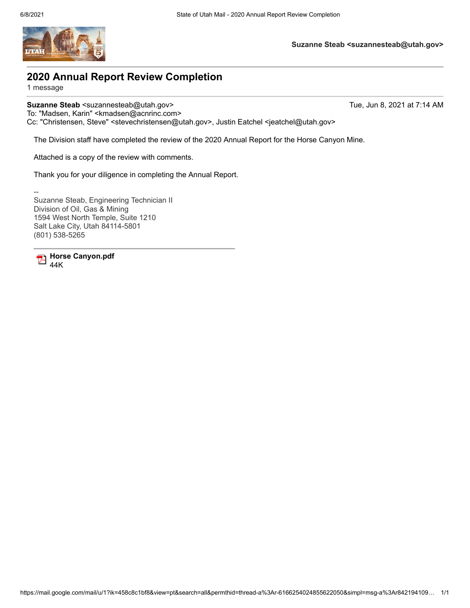

**Suzanne Steab <suzannesteab@utah.gov>**

## **2020 Annual Report Review Completion**

1 message

**Suzanne Steab <suzannesteab@utah.gov>** Tue, Jun 8, 2021 at 7:14 AM

To: "Madsen, Karin" <kmadsen@acnrinc.com>

Cc: "Christensen, Steve" <stevechristensen@utah.gov>, Justin Eatchel <jeatchel@utah.gov>

The Division staff have completed the review of the 2020 Annual Report for the Horse Canyon Mine.

Attached is a copy of the review with comments.

Thank you for your diligence in completing the Annual Report.

-- Suzanne Steab, Engineering Technician II Division of Oil, Gas & Mining 1594 West North Temple, Suite 1210 Salt Lake City, Utah 84114-5801 (801) 538-5265

**Horse Canyon.pdf** 44K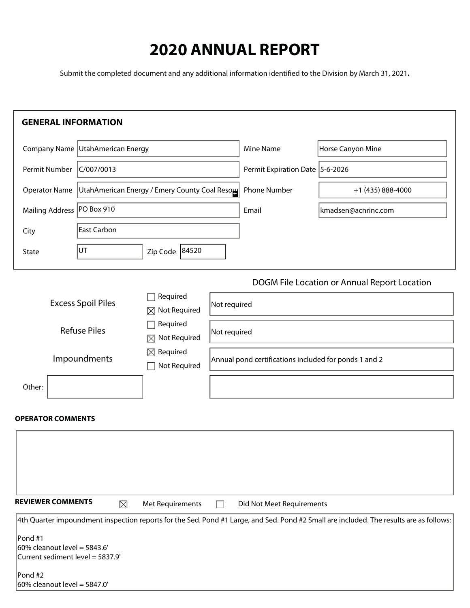# **2020 ANNUAL REPORT**

Submit the completed document and any additional information identified to the Division by March 31, 2021**.**

| <b>GENERAL INFORMATION</b>                                                                                                                                                    |                                               |                                                       |              |                                   |                                                                                                                                         |  |  |  |
|-------------------------------------------------------------------------------------------------------------------------------------------------------------------------------|-----------------------------------------------|-------------------------------------------------------|--------------|-----------------------------------|-----------------------------------------------------------------------------------------------------------------------------------------|--|--|--|
|                                                                                                                                                                               | Company Name UtahAmerican Energy              |                                                       |              | <b>Mine Name</b>                  | Horse Canyon Mine                                                                                                                       |  |  |  |
| Permit Number                                                                                                                                                                 | C/007/0013                                    |                                                       |              | Permit Expiration Date   5-6-2026 |                                                                                                                                         |  |  |  |
| <b>Operator Name</b>                                                                                                                                                          | UtahAmerican Energy / Emery County Coal Resou |                                                       |              | Phone Number                      | +1 (435) 888-4000                                                                                                                       |  |  |  |
| <b>Mailing Address</b>                                                                                                                                                        | PO Box 910                                    |                                                       |              | Email                             | kmadsen@acnrinc.com                                                                                                                     |  |  |  |
| City                                                                                                                                                                          | East Carbon                                   |                                                       |              |                                   |                                                                                                                                         |  |  |  |
| State                                                                                                                                                                         | UT.                                           | 84520<br>Zip Code                                     |              |                                   |                                                                                                                                         |  |  |  |
|                                                                                                                                                                               |                                               |                                                       |              |                                   | DOGM File Location or Annual Report Location                                                                                            |  |  |  |
| Required<br><b>Excess Spoil Piles</b><br>Not Required<br>M<br>Required<br><b>Refuse Piles</b><br>Not Required<br>$\boxtimes$<br>Required<br>⊠<br>Impoundments<br>Not Required |                                               |                                                       | Not required |                                   |                                                                                                                                         |  |  |  |
|                                                                                                                                                                               |                                               |                                                       | Not required |                                   |                                                                                                                                         |  |  |  |
|                                                                                                                                                                               |                                               | Annual pond certifications included for ponds 1 and 2 |              |                                   |                                                                                                                                         |  |  |  |
| Other:                                                                                                                                                                        |                                               |                                                       |              |                                   |                                                                                                                                         |  |  |  |
| <b>OPERATOR COMMENTS</b>                                                                                                                                                      |                                               |                                                       |              |                                   |                                                                                                                                         |  |  |  |
|                                                                                                                                                                               |                                               |                                                       |              |                                   |                                                                                                                                         |  |  |  |
| <b>REVIEWER COMMENTS</b>                                                                                                                                                      |                                               | Met Requirements                                      |              | Did Not Meet Requirements         |                                                                                                                                         |  |  |  |
|                                                                                                                                                                               | $\boxtimes$                                   |                                                       |              |                                   |                                                                                                                                         |  |  |  |
| Pond#1<br>$ 60\%$ cleanout level = 5843.6'<br>Current sediment level = 5837.9'                                                                                                |                                               |                                                       |              |                                   | 4th Quarter impoundment inspection reports for the Sed. Pond #1 Large, and Sed. Pond #2 Small are included. The results are as follows: |  |  |  |

Pond #2  $60\%$  cleanout level = 5847.0'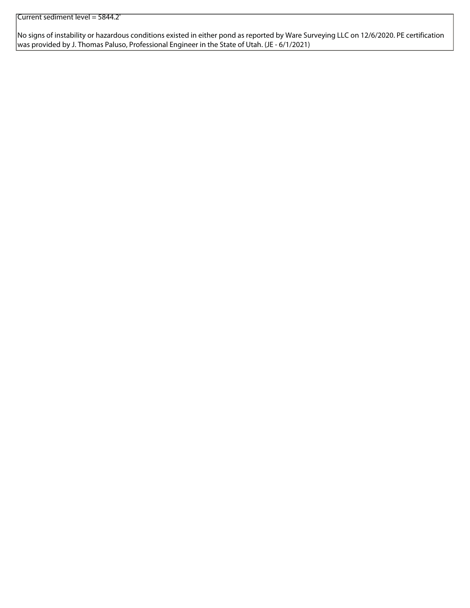No signs of instability or hazardous conditions existed in either pond as reported by Ware Surveying LLC on 12/6/2020. PE certification was provided by J. Thomas Paluso, Professional Engineer in the State of Utah. (JE - 6/1/2021)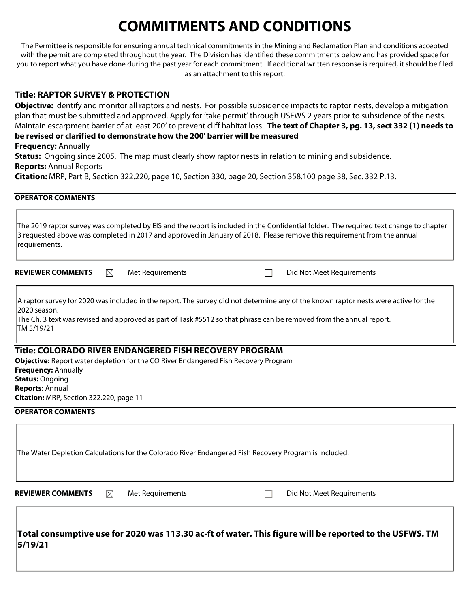# **COMMITMENTS AND CONDITIONS**

The Permittee is responsible for ensuring annual technical commitments in the Mining and Reclamation Plan and conditions accepted with the permit are completed throughout the year. The Division has identified these commitments below and has provided space for you to report what you have done during the past year for each commitment. If additional written response is required, it should be filed as an attachment to this report.

#### **Title: RAPTOR SURVEY & PROTECTION**

**Objective:** Identify and monitor all raptors and nests. For possible subsidence impacts to raptor nests, develop a mitigation plan that must be submitted and approved. Apply for 'take permit' through USFWS 2 years prior to subsidence of the nests. Maintain escarpment barrier of at least 200' to prevent cliff habitat loss. **The text of Chapter 3, pg. 13, sect 332 (1) needs to be revised or clarified to demonstrate how the 200' barrier will be measured** 

**Frequency:** Annually

**Status:** Ongoing since 2005. The map must clearly show raptor nests in relation to mining and subsidence. **Reports:** Annual Reports

**Citation:** MRP, Part B, Section 322.220, page 10, Section 330, page 20, Section 358.100 page 38, Sec. 332 P.13.

#### **OPERATOR COMMENTS**

| The 2019 raptor survey was completed by EIS and the report is included in the Confidential folder. The required text change to chapter<br>3 requested above was completed in 2017 and approved in January of 2018. Please remove this requirement from the annual<br>requirements.       |             |                  |  |  |                                                                                                                                                                                                                                                            |  |  |  |
|------------------------------------------------------------------------------------------------------------------------------------------------------------------------------------------------------------------------------------------------------------------------------------------|-------------|------------------|--|--|------------------------------------------------------------------------------------------------------------------------------------------------------------------------------------------------------------------------------------------------------------|--|--|--|
| <b>REVIEWER COMMENTS</b>                                                                                                                                                                                                                                                                 | $\boxtimes$ | Met Requirements |  |  | Did Not Meet Requirements                                                                                                                                                                                                                                  |  |  |  |
| 12020 season.<br>TM 5/19/21                                                                                                                                                                                                                                                              |             |                  |  |  | A raptor survey for 2020 was included in the report. The survey did not determine any of the known raptor nests were active for the<br>The Ch. 3 text was revised and approved as part of Task #5512 so that phrase can be removed from the annual report. |  |  |  |
| Title: COLORADO RIVER ENDANGERED FISH RECOVERY PROGRAM<br><b>Objective:</b> Report water depletion for the CO River Endangered Fish Recovery Program<br><b>Frequency: Annually</b><br><b>Status: Ongoing</b><br><b>Reports: Annual</b><br><b>Citation:</b> MRP, Section 322.220, page 11 |             |                  |  |  |                                                                                                                                                                                                                                                            |  |  |  |

#### **OPERATOR COMMENTS**

|                          |   | The Water Depletion Calculations for the Colorado River Endangered Fish Recovery Program is included. |                           |  |
|--------------------------|---|-------------------------------------------------------------------------------------------------------|---------------------------|--|
| <b>REVIEWER COMMENTS</b> | ⊠ | Met Requirements                                                                                      | Did Not Meet Requirements |  |
|                          |   |                                                                                                       |                           |  |

**Total consumptive use for 2020 was 113.30 ac-ft of water. This figure will be reported to the USFWS. TM 5/19/21**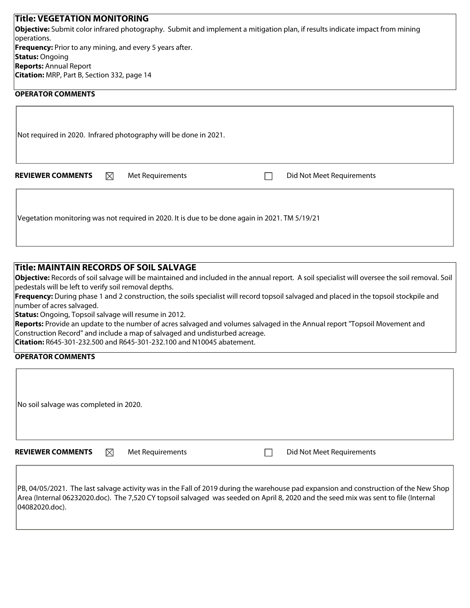| <b>Title: VEGETATION MONITORING</b>                                                                                                 |
|-------------------------------------------------------------------------------------------------------------------------------------|
| <b>Objective:</b> Submit color infrared photography. Submit and implement a mitigation plan, if results indicate impact from mining |
| operations.                                                                                                                         |
| <b>Frequency:</b> Prior to any mining, and every 5 years after.                                                                     |
| <b>Status: Ongoing</b>                                                                                                              |
| <b>Reports:</b> Annual Report                                                                                                       |
| <b>Citation:</b> MRP, Part B, Section 332, page 14                                                                                  |
| <b>OPERATOR COMMENTS</b>                                                                                                            |

|                          |             | Not required in 2020. Infrared photography will be done in 2021.                               |                           |
|--------------------------|-------------|------------------------------------------------------------------------------------------------|---------------------------|
| <b>REVIEWER COMMENTS</b> | $\boxtimes$ | Met Requirements                                                                               | Did Not Meet Requirements |
|                          |             | Vegetation monitoring was not required in 2020. It is due to be done again in 2021. TM 5/19/21 |                           |

### **Title: MAINTAIN RECORDS OF SOIL SALVAGE**

**Objective:** Records of soil salvage will be maintained and included in the annual report. A soil specialist will oversee the soil removal. Soil pedestals will be left to verify soil removal depths.

**Frequency:** During phase 1 and 2 construction, the soils specialist will record topsoil salvaged and placed in the topsoil stockpile and number of acres salvaged.

**Status:** Ongoing, Topsoil salvage will resume in 2012.

**Reports:** Provide an update to the number of acres salvaged and volumes salvaged in the Annual report "Topsoil Movement and Construction Record" and include a map of salvaged and undisturbed acreage.

**Citation:** R645-301-232.500 and R645-301-232.100 and N10045 abatement.

#### **OPERATOR COMMENTS**

| No soil salvage was completed in 2020. |             |                  |  |                           |
|----------------------------------------|-------------|------------------|--|---------------------------|
| <b>REVIEWER COMMENTS</b>               | $\boxtimes$ | Met Requirements |  | Did Not Meet Requirements |

PB, 04/05/2021. The last salvage activity was in the Fall of 2019 during the warehouse pad expansion and construction of the New Shop Area (Internal 06232020.doc). The 7,520 CY topsoil salvaged was seeded on April 8, 2020 and the seed mix was sent to file (Internal 04082020.doc).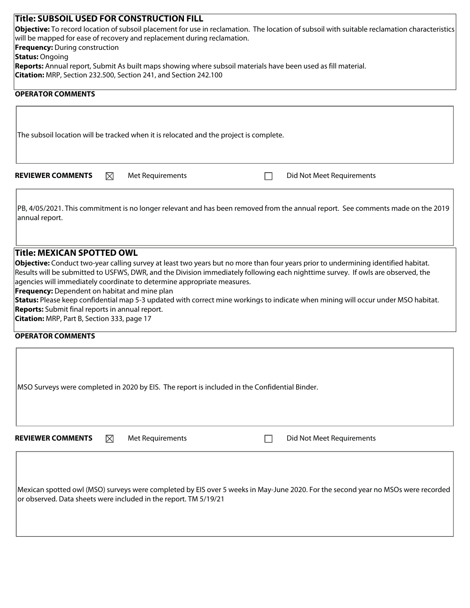| <b>Title: SUBSOIL USED FOR CONSTRUCTION FILL</b>                                                                                                    |
|-----------------------------------------------------------------------------------------------------------------------------------------------------|
| <b>Objective:</b> To record location of subsoil placement for use in reclamation. The location of subsoil with suitable reclamation characteristics |
| will be mapped for ease of recovery and replacement during reclamation.                                                                             |
| <b>Frequency:</b> During construction                                                                                                               |
| <b>Status: Ongoing</b>                                                                                                                              |
| <b>Reports:</b> Annual report, Submit As built maps showing where subsoil materials have been used as fill material.                                |
| <b>Citation:</b> MRP, Section 232.500, Section 241, and Section 242.100                                                                             |
|                                                                                                                                                     |

#### **OPERATOR COMMENTS**

The subsoil location will be tracked when it is relocated and the project is complete. **REVIEWER COMMENTS**  $\boxtimes$  Met Requirements **Did Not Meet Requirements** 

PB, 4/05/2021. This commitment is no longer relevant and has been removed from the annual report. See comments made on the 2019 annual report.

**Title: MEXICAN SPOTTED OWL** 

**Objective:** Conduct two-year calling survey at least two years but no more than four years prior to undermining identified habitat. Results will be submitted to USFWS, DWR, and the Division immediately following each nighttime survey. If owls are observed, the agencies will immediately coordinate to determine appropriate measures.

**Frequency:** Dependent on habitat and mine plan

**Status:** Please keep confidential map 5-3 updated with correct mine workings to indicate when mining will occur under MSO habitat. **Reports:** Submit final reports in annual report.

**Citation:** MRP, Part B, Section 333, page 17

#### **OPERATOR COMMENTS**

|                          |             | MSO Surveys were completed in 2020 by EIS. The report is included in the Confidential Binder. |  |                           |  |
|--------------------------|-------------|-----------------------------------------------------------------------------------------------|--|---------------------------|--|
| <b>REVIEWER COMMENTS</b> | $\boxtimes$ | Met Requirements                                                                              |  | Did Not Meet Requirements |  |

Mexican spotted owl (MSO) surveys were completed by EIS over 5 weeks in May-June 2020. For the second year no MSOs were recorded or observed. Data sheets were included in the report. TM 5/19/21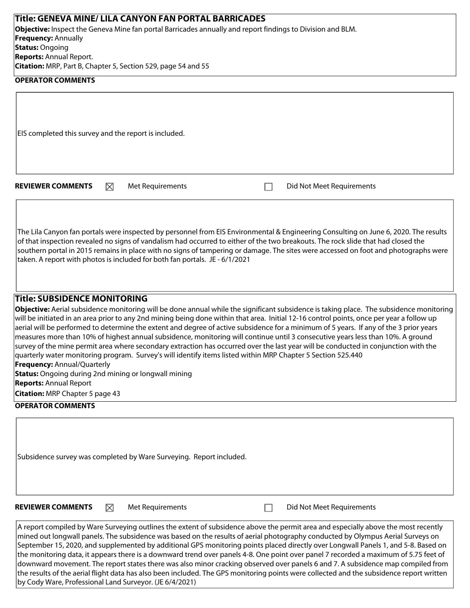| Title: GENEVA MINE/ LILA CANYON FAN PORTAL BARRICADES                                                                                                                                                                                                                                                                                                                                                                                                                                                                                                                                                                                                                                                                                                                                                                                                          |  |
|----------------------------------------------------------------------------------------------------------------------------------------------------------------------------------------------------------------------------------------------------------------------------------------------------------------------------------------------------------------------------------------------------------------------------------------------------------------------------------------------------------------------------------------------------------------------------------------------------------------------------------------------------------------------------------------------------------------------------------------------------------------------------------------------------------------------------------------------------------------|--|
| Objective: Inspect the Geneva Mine fan portal Barricades annually and report findings to Division and BLM.                                                                                                                                                                                                                                                                                                                                                                                                                                                                                                                                                                                                                                                                                                                                                     |  |
| <b>Frequency: Annually</b><br><b>Status: Ongoing</b>                                                                                                                                                                                                                                                                                                                                                                                                                                                                                                                                                                                                                                                                                                                                                                                                           |  |
| <b>Reports: Annual Report.</b>                                                                                                                                                                                                                                                                                                                                                                                                                                                                                                                                                                                                                                                                                                                                                                                                                                 |  |
| Citation: MRP, Part B, Chapter 5, Section 529, page 54 and 55                                                                                                                                                                                                                                                                                                                                                                                                                                                                                                                                                                                                                                                                                                                                                                                                  |  |
| <b>OPERATOR COMMENTS</b>                                                                                                                                                                                                                                                                                                                                                                                                                                                                                                                                                                                                                                                                                                                                                                                                                                       |  |
|                                                                                                                                                                                                                                                                                                                                                                                                                                                                                                                                                                                                                                                                                                                                                                                                                                                                |  |
| EIS completed this survey and the report is included.                                                                                                                                                                                                                                                                                                                                                                                                                                                                                                                                                                                                                                                                                                                                                                                                          |  |
|                                                                                                                                                                                                                                                                                                                                                                                                                                                                                                                                                                                                                                                                                                                                                                                                                                                                |  |
| Did Not Meet Requirements<br><b>REVIEWER COMMENTS</b><br>⊠<br>Met Requirements                                                                                                                                                                                                                                                                                                                                                                                                                                                                                                                                                                                                                                                                                                                                                                                 |  |
| The Lila Canyon fan portals were inspected by personnel from EIS Environmental & Engineering Consulting on June 6, 2020. The results<br>of that inspection revealed no signs of vandalism had occurred to either of the two breakouts. The rock slide that had closed the<br>southern portal in 2015 remains in place with no signs of tampering or damage. The sites were accessed on foot and photographs were<br>taken. A report with photos is included for both fan portals. JE - 6/1/2021                                                                                                                                                                                                                                                                                                                                                                |  |
| <b>Title: SUBSIDENCE MONITORING</b>                                                                                                                                                                                                                                                                                                                                                                                                                                                                                                                                                                                                                                                                                                                                                                                                                            |  |
| Objective: Aerial subsidence monitoring will be done annual while the significant subsidence is taking place. The subsidence monitoring<br>will be initiated in an area prior to any 2nd mining being done within that area. Initial 12-16 control points, once per year a follow up<br>aerial will be performed to determine the extent and degree of active subsidence for a minimum of 5 years. If any of the 3 prior years<br>measures more than 10% of highest annual subsidence, monitoring will continue until 3 consecutive years less than 10%. A ground<br>survey of the mine permit area where secondary extraction has occurred over the last year will be conducted in conjunction with the<br>quarterly water monitoring program. Survey's will identify items listed within MRP Chapter 5 Section 525.440<br><b>Frequency: Annual/Quarterly</b> |  |
| <b>Status:</b> Ongoing during 2nd mining or longwall mining                                                                                                                                                                                                                                                                                                                                                                                                                                                                                                                                                                                                                                                                                                                                                                                                    |  |
| <b>Reports: Annual Report</b>                                                                                                                                                                                                                                                                                                                                                                                                                                                                                                                                                                                                                                                                                                                                                                                                                                  |  |
| <b>Citation:</b> MRP Chapter 5 page 43                                                                                                                                                                                                                                                                                                                                                                                                                                                                                                                                                                                                                                                                                                                                                                                                                         |  |
| <b>OPERATOR COMMENTS</b>                                                                                                                                                                                                                                                                                                                                                                                                                                                                                                                                                                                                                                                                                                                                                                                                                                       |  |

Subsidence survey was completed by Ware Surveying. Report included.

**REVIEWER COMMENTS**  $\boxtimes$  Met Requirements **Did Not Meet Requirements** 

A report compiled by Ware Surveying outlines the extent of subsidence above the permit area and especially above the most recently mined out longwall panels. The subsidence was based on the results of aerial photography conducted by Olympus Aerial Surveys on September 15, 2020, and supplemented by additional GPS monitoring points placed directly over Longwall Panels 1, and 5-8. Based on the monitoring data, it appears there is a downward trend over panels 4-8. One point over panel 7 recorded a maximum of 5.75 feet of downward movement. The report states there was also minor cracking observed over panels 6 and 7. A subsidence map compiled from the results of the aerial flight data has also been included. The GPS monitoring points were collected and the subsidence report written by Cody Ware, Professional Land Surveyor. (JE 6/4/2021)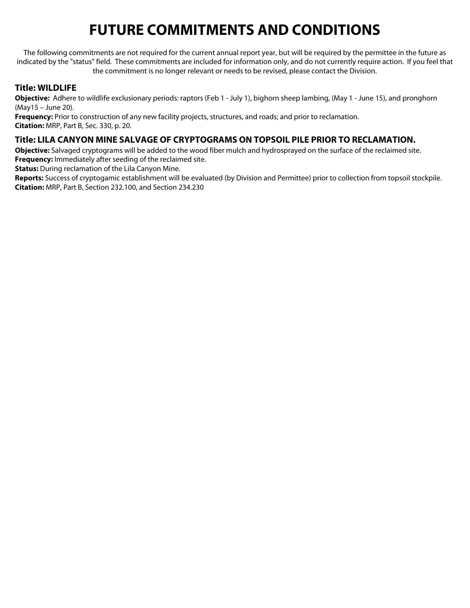# **FUTURE COMMITMENTS AND CONDITIONS**

The following commitments are not required for the current annual report year, but will be required by the permittee in the future as indicated by the "status" field. These commitments are included for information only, and do not currently require action. If you feel that the commitment is no longer relevant or needs to be revised, please contact the Division.

## **Title: WILDLIFE**

**Objective:** Adhere to wildlife exclusionary periods: raptors (Feb 1 - July 1), bighorn sheep lambing, (May 1 - June 15), and pronghorn (May15 – June 20).

**Frequency:** Prior to construction of any new facility projects, structures, and roads; and prior to reclamation. **Citation:** MRP, Part B, Sec. 330, p. 20.

## **Title: LILA CANYON MINE SALVAGE OF CRYPTOGRAMS ON TOPSOIL PILE PRIOR TO RECLAMATION.**

**Objective:** Salvaged cryptograms will be added to the wood fiber mulch and hydrosprayed on the surface of the reclaimed site. **Frequency:** Immediately after seeding of the reclaimed site.

**Status:** During reclamation of the Lila Canyon Mine.

**Reports:** Success of cryptogamic establishment will be evaluated (by Division and Permittee) prior to collection from topsoil stockpile. **Citation:** MRP, Part B, Section 232.100, and Section 234.230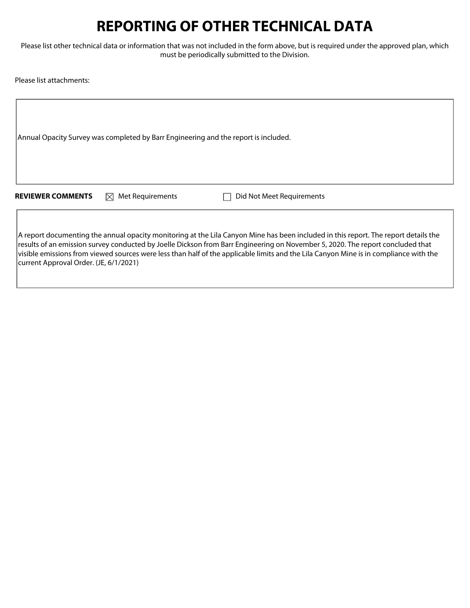## **REPORTING OF OTHER TECHNICAL DATA**

Please list other technical data or information that was not included in the form above, but is required under the approved plan, which must be periodically submitted to the Division.

Please list attachments:

Annual Opacity Survey was completed by Barr Engineering and the report is included.

**REVIEWER COMMENTS**  $\boxtimes$  Met Requirements  $\Box$  Did Not Meet Requirements

A report documenting the annual opacity monitoring at the Lila Canyon Mine has been included in this report. The report details the results of an emission survey conducted by Joelle Dickson from Barr Engineering on November 5, 2020. The report concluded that visible emissions from viewed sources were less than half of the applicable limits and the Lila Canyon Mine is in compliance with the current Approval Order. (JE, 6/1/2021)